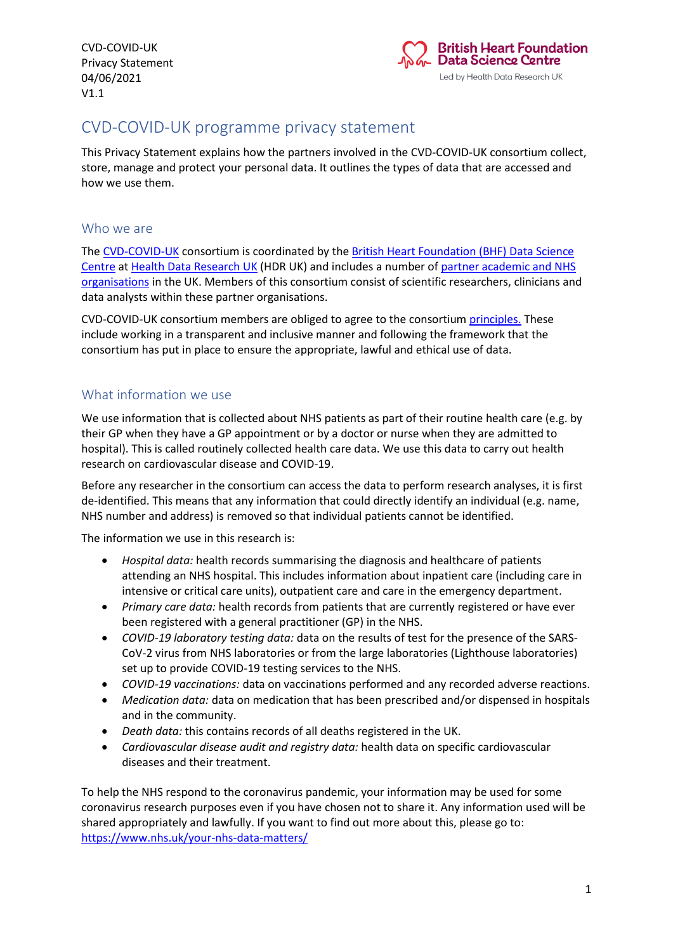

# CVD-COVID-UK programme privacy statement

This Privacy Statement explains how the partners involved in the CVD-COVID-UK consortium collect, store, manage and protect your personal data. It outlines the types of data that are accessed and how we use them.

#### Who we are

The [CVD-COVID-UK](https://www.hdruk.ac.uk/projects/cvd-covid-uk-project/) consortium is coordinated by the [British Heart Foundation \(BHF\)](https://www.hdruk.ac.uk/help-with-your-data/bhf-data-science-centre/) Data Science [Centre](https://www.hdruk.ac.uk/help-with-your-data/bhf-data-science-centre/) at [Health Data Research UK](https://www.hdruk.ac.uk/) (HDR UK) and includes a number of [partner academic and NHS](https://www.hdruk.ac.uk/wp-content/uploads/2021/05/210518-CVD-COVID-UK-Consortium-Members.pdf)  [organisations](https://www.hdruk.ac.uk/wp-content/uploads/2021/05/210518-CVD-COVID-UK-Consortium-Members.pdf) in the UK. Members of this consortium consist of scientific researchers, clinicians and data analysts within these partner organisations.

CVD-COVID-UK consortium members are obliged to agree to the consortium [principles.](https://www.hdruk.ac.uk/wp-content/uploads/2020/07/CVD-COVID-UK-principles-for-website.pdf) These include working in a transparent and inclusive manner and following the framework that the consortium has put in place to ensure the appropriate, lawful and ethical use of data.

### What information we use

We use information that is collected about NHS patients as part of their routine health care (e.g. by their GP when they have a GP appointment or by a doctor or nurse when they are admitted to hospital). This is called routinely collected health care data. We use this data to carry out health research on cardiovascular disease and COVID-19.

Before any researcher in the consortium can access the data to perform research analyses, it is first de-identified. This means that any information that could directly identify an individual (e.g. name, NHS number and address) is removed so that individual patients cannot be identified.

The information we use in this research is:

- *Hospital data:* health records summarising the diagnosis and healthcare of patients attending an NHS hospital. This includes information about inpatient care (including care in intensive or critical care units), outpatient care and care in the emergency department.
- *Primary care data:* health records from patients that are currently registered or have ever been registered with a general practitioner (GP) in the NHS.
- *COVID-19 laboratory testing data:* data on the results of test for the presence of the SARS-CoV-2 virus from NHS laboratories or from the large laboratories (Lighthouse laboratories) set up to provide COVID-19 testing services to the NHS.
- *COVID-19 vaccinations:* data on vaccinations performed and any recorded adverse reactions.
- *Medication data:* data on medication that has been prescribed and/or dispensed in hospitals and in the community.
- *Death data:* this contains records of all deaths registered in the UK.
- *Cardiovascular disease audit and registry data:* health data on specific cardiovascular diseases and their treatment.

To help the NHS respond to the coronavirus pandemic, your information may be used for some coronavirus research purposes even if you have chosen not to share it. Any information used will be shared appropriately and lawfully. If you want to find out more about this, please go to: <https://www.nhs.uk/your-nhs-data-matters/>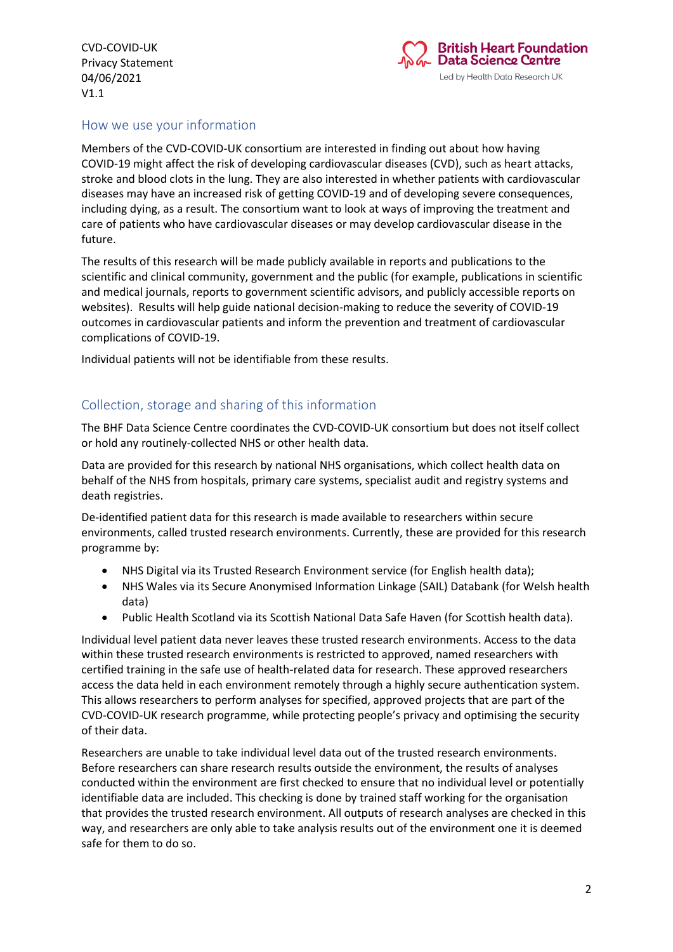

## How we use your information

Members of the CVD-COVID-UK consortium are interested in finding out about how having COVID-19 might affect the risk of developing cardiovascular diseases (CVD), such as heart attacks, stroke and blood clots in the lung. They are also interested in whether patients with cardiovascular diseases may have an increased risk of getting COVID-19 and of developing severe consequences, including dying, as a result. The consortium want to look at ways of improving the treatment and care of patients who have cardiovascular diseases or may develop cardiovascular disease in the future.

The results of this research will be made publicly available in reports and publications to the scientific and clinical community, government and the public (for example, publications in scientific and medical journals, reports to government scientific advisors, and publicly accessible reports on websites). Results will help guide national decision-making to reduce the severity of COVID-19 outcomes in cardiovascular patients and inform the prevention and treatment of cardiovascular complications of COVID-19.

Individual patients will not be identifiable from these results.

## Collection, storage and sharing of this information

The BHF Data Science Centre coordinates the CVD-COVID-UK consortium but does not itself collect or hold any routinely-collected NHS or other health data.

Data are provided for this research by national NHS organisations, which collect health data on behalf of the NHS from hospitals, primary care systems, specialist audit and registry systems and death registries.

De-identified patient data for this research is made available to researchers within secure environments, called trusted research environments. Currently, these are provided for this research programme by:

- NHS Digital via its Trusted Research Environment service (for English health data);
- NHS Wales via its Secure Anonymised Information Linkage (SAIL) Databank (for Welsh health data)
- Public Health Scotland via its Scottish National Data Safe Haven (for Scottish health data).

Individual level patient data never leaves these trusted research environments. Access to the data within these trusted research environments is restricted to approved, named researchers with certified training in the safe use of health-related data for research. These approved researchers access the data held in each environment remotely through a highly secure authentication system. This allows researchers to perform analyses for specified, approved projects that are part of the CVD-COVID-UK research programme, while protecting people's privacy and optimising the security of their data.

Researchers are unable to take individual level data out of the trusted research environments. Before researchers can share research results outside the environment, the results of analyses conducted within the environment are first checked to ensure that no individual level or potentially identifiable data are included. This checking is done by trained staff working for the organisation that provides the trusted research environment. All outputs of research analyses are checked in this way, and researchers are only able to take analysis results out of the environment one it is deemed safe for them to do so.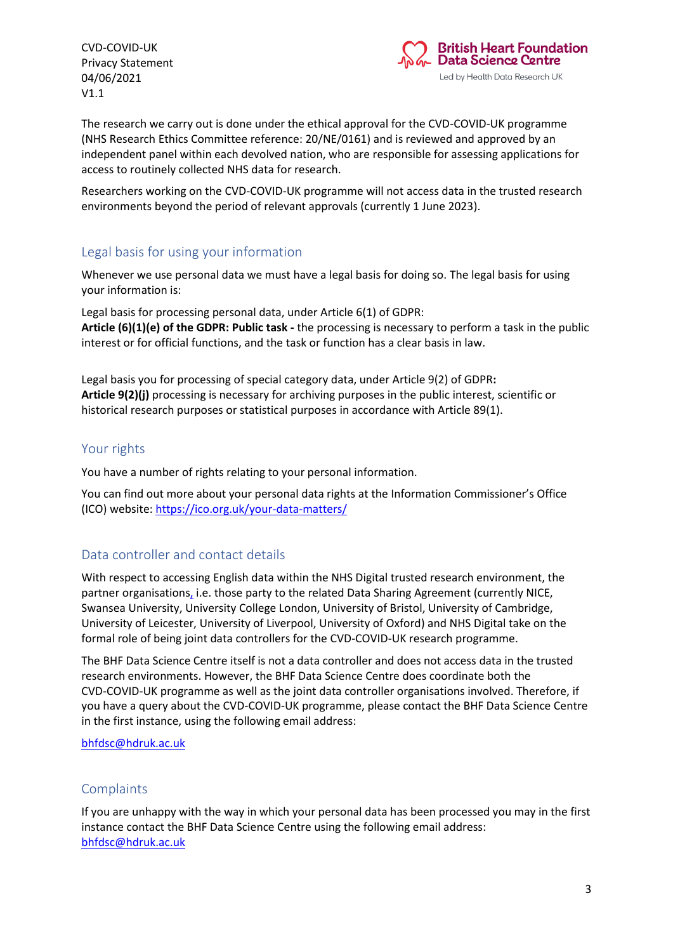

The research we carry out is done under the ethical approval for the CVD-COVID-UK programme (NHS Research Ethics Committee reference: 20/NE/0161) and is reviewed and approved by an independent panel within each devolved nation, who are responsible for assessing applications for access to routinely collected NHS data for research.

Researchers working on the CVD-COVID-UK programme will not access data in the trusted research environments beyond the period of relevant approvals (currently 1 June 2023).

#### Legal basis for using your information

Whenever we use personal data we must have a legal basis for doing so. The legal basis for using your information is:

Legal basis for processing personal data, under Article 6(1) of GDPR: **Article (6)(1)(e) of the GDPR: Public task -** the processing is necessary to perform a task in the public interest or for official functions, and the task or function has a clear basis in law.

Legal basis you for processing of special category data, under Article 9(2) of GDPR**: Article 9(2)(j)** processing is necessary for archiving purposes in the public interest, scientific or historical research purposes or statistical purposes in accordance with Article 89(1).

#### Your rights

You have a number of rights relating to your personal information.

You can find out more about your personal data rights at the Information Commissioner's Office (ICO) website[: https://ico.org.uk/your-data-matters/](https://ico.org.uk/your-data-matters/)

### Data controller and contact details

With respect to accessing English data within the NHS Digital trusted research environment, the partner organisations, i.e. those party to the related Data Sharing Agreement (currently NICE, Swansea University, University College London, University of Bristol, University of Cambridge, University of Leicester, University of Liverpool, University of Oxford) and NHS Digital take on the formal role of being joint data controllers for the CVD-COVID-UK research programme.

The BHF Data Science Centre itself is not a data controller and does not access data in the trusted research environments. However, the BHF Data Science Centre does coordinate both the CVD-COVID-UK programme as well as the joint data controller organisations involved. Therefore, if you have a query about the CVD-COVID-UK programme, please contact the BHF Data Science Centre in the first instance, using the following email address:

#### [bhfdsc@hdruk.ac.uk](mailto:bhfdsc@hdruk.ac.uk)

#### Complaints

If you are unhappy with the way in which your personal data has been processed you may in the first instance contact the BHF Data Science Centre using the following email address: [bhfdsc@hdruk.ac.uk](mailto:bhfdsc@hdruk.ac.uk)